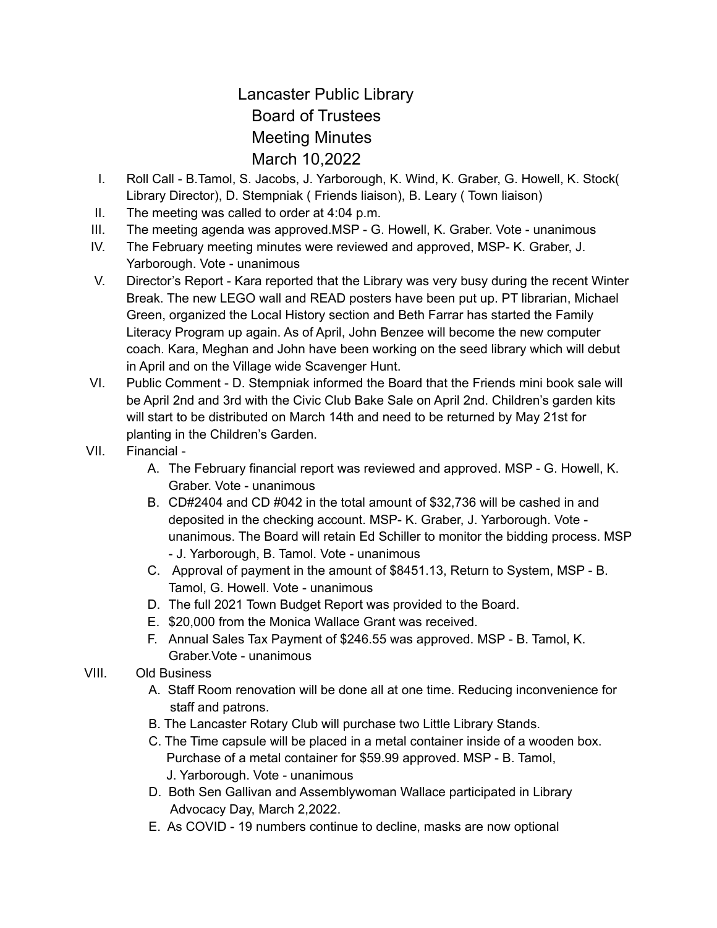## Lancaster Public Library Board of Trustees Meeting Minutes March 10,2022

- I. Roll Call B.Tamol, S. Jacobs, J. Yarborough, K. Wind, K. Graber, G. Howell, K. Stock( Library Director), D. Stempniak ( Friends liaison), B. Leary ( Town liaison)
- II. The meeting was called to order at 4:04 p.m.
- III. The meeting agenda was approved.MSP G. Howell, K. Graber. Vote unanimous
- IV. The February meeting minutes were reviewed and approved, MSP- K. Graber, J. Yarborough. Vote - unanimous
- V. Director's Report Kara reported that the Library was very busy during the recent Winter Break. The new LEGO wall and READ posters have been put up. PT librarian, Michael Green, organized the Local History section and Beth Farrar has started the Family Literacy Program up again. As of April, John Benzee will become the new computer coach. Kara, Meghan and John have been working on the seed library which will debut in April and on the Village wide Scavenger Hunt.
- VI. Public Comment D. Stempniak informed the Board that the Friends mini book sale will be April 2nd and 3rd with the Civic Club Bake Sale on April 2nd. Children's garden kits will start to be distributed on March 14th and need to be returned by May 21st for planting in the Children's Garden.
- VII. Financial
	- A. The February financial report was reviewed and approved. MSP G. Howell, K. Graber. Vote - unanimous
	- B. CD#2404 and CD #042 in the total amount of \$32,736 will be cashed in and deposited in the checking account. MSP- K. Graber, J. Yarborough. Vote unanimous. The Board will retain Ed Schiller to monitor the bidding process. MSP - J. Yarborough, B. Tamol. Vote - unanimous
	- C. Approval of payment in the amount of \$8451.13, Return to System, MSP B. Tamol, G. Howell. Vote - unanimous
	- D. The full 2021 Town Budget Report was provided to the Board.
	- E. \$20,000 from the Monica Wallace Grant was received.
	- F. Annual Sales Tax Payment of \$246.55 was approved. MSP B. Tamol, K. Graber.Vote - unanimous
- VIII. Old Business
	- A. Staff Room renovation will be done all at one time. Reducing inconvenience for staff and patrons.
	- B. The Lancaster Rotary Club will purchase two Little Library Stands.
	- C. The Time capsule will be placed in a metal container inside of a wooden box. Purchase of a metal container for \$59.99 approved. MSP - B. Tamol, J. Yarborough. Vote - unanimous
	- D. Both Sen Gallivan and Assemblywoman Wallace participated in Library Advocacy Day, March 2,2022.
	- E. As COVID 19 numbers continue to decline, masks are now optional